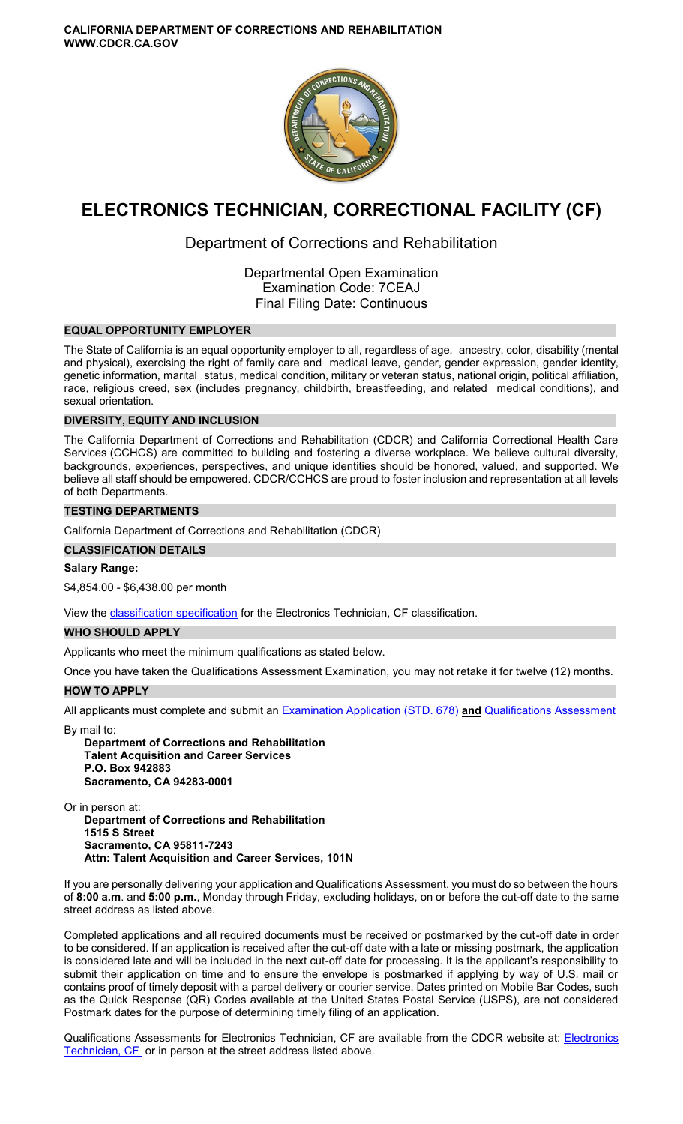

# **ELECTRONICS TECHNICIAN, CORRECTIONAL FACILITY (CF)**

## Department of Corrections and Rehabilitation

Departmental Open Examination Examination Code: 7CEAJ Final Filing Date: Continuous

## **EQUAL OPPORTUNITY EMPLOYER**

The State of California is an equal opportunity employer to all, regardless of age, ancestry, color, disability (mental and physical), exercising the right of family care and medical leave, gender, gender expression, gender identity, genetic information, marital status, medical condition, military or veteran status, national origin, political affiliation, race, religious creed, sex (includes pregnancy, childbirth, breastfeeding, and related medical conditions), and sexual orientation.

## **DIVERSITY, EQUITY AND INCLUSION**

The California Department of Corrections and Rehabilitation (CDCR) and California Correctional Health Care Services (CCHCS) are committed to building and fostering a diverse workplace. We believe cultural diversity, backgrounds, experiences, perspectives, and unique identities should be honored, valued, and supported. We believe all staff should be empowered. CDCR/CCHCS are proud to foster inclusion and representation at all levels of both Departments.

## **TESTING DEPARTMENTS**

California Department of Corrections and Rehabilitation (CDCR)

## **CLASSIFICATION DETAILS**

## **Salary Range:**

[\\$4,854.00](https://4,854.00) - \$[6,438.00](https://6,438.00) per month

View the [classification specification](https://www.calhr.ca.gov/state-hr-professionals/Pages/6913.aspx) for the Electronics Technician, CF classification.

## **WHO SHOULD APPLY**

Applicants who meet the minimum qualifications as stated below.

Once you have taken the Qualifications Assessment Examination, you may not retake it for twelve (12) months.

## **HOW TO APPLY**

All applicants must complete and submit an [Examination Application \(STD. 678\)](https://jobs.ca.gov/pdf/STD678.pdf) **and** [Qualifications Assessment](https://www.cdcr.ca.gov/careers/wp-content/uploads/sites/164/2021/04/ElectronicsTechnicianCFQA-O-C.pdf) 

By mail to:

**Department of Corrections and Rehabilitation Talent Acquisition and Career Services P.O. Box 942883 Sacramento, CA 94283-0001** 

Or in person at:

**Department of Corrections and Rehabilitation 1515 S Street Sacramento, CA 95811-7243 Attn: Talent Acquisition and Career Services, 101N** 

If you are personally delivering your application and Qualifications Assessment, you must do so between the hours of **8:00 a.m**. and **5:00 p.m.**, Monday through Friday, excluding holidays, on or before the cut-off date to the same street address as listed above.

Completed applications and all required documents must be received or postmarked by the cut-off date in order to be considered. If an application is received after the cut-off date with a late or missing postmark, the application is considered late and will be included in the next cut-off date for processing. It is the applicant's responsibility to submit their application on time and to ensure the envelope is postmarked if applying by way of U.S. mail or contains proof of timely deposit with a parcel delivery or courier service. Dates printed on Mobile Bar Codes, such as the Quick Response (QR) Codes available at the United States Postal Service (USPS), are not considered Postmark dates for the purpose of determining timely filing of an application.

Qualifications Assessments for Electronics Technician, CF are available from the CDCR website at: [Electronics](https://www.cdcr.ca.gov/careers/wp-content/uploads/sites/164/2021/04/ElectronicsTechnicianCFQA-O-C.pdf)  [Technician, CF](https://www.cdcr.ca.gov/careers/wp-content/uploads/sites/164/2021/04/ElectronicsTechnicianCFQA-O-C.pdf) or in person at the street address listed above.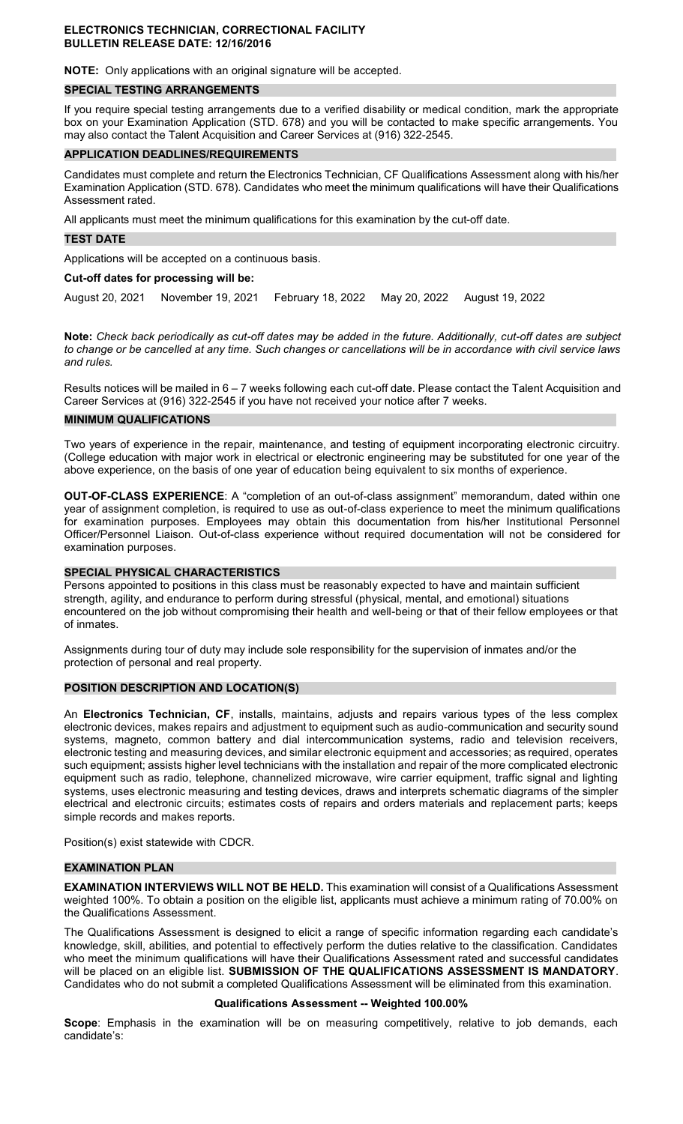#### **ELECTRONICS TECHNICIAN, CORRECTIONAL FACILITY BULLETIN RELEASE DATE: 12/16/2016**

**NOTE:** Only applications with an original signature will be accepted.

#### **SPECIAL TESTING ARRANGEMENTS**

If you require special testing arrangements due to a verified disability or medical condition, mark the appropriate box on your Examination Application (STD. 678) and you will be contacted to make specific arrangements. You may also contact the Talent Acquisition and Career Services at (916) 322-2545.

#### **APPLICATION DEADLINES/REQUIREMENTS**

Candidates must complete and return the Electronics Technician, CF Qualifications Assessment along with his/her Examination Application (STD. 678). Candidates who meet the minimum qualifications will have their Qualifications Assessment rated.

All applicants must meet the minimum qualifications for this examination by the cut-off date.

#### **TEST DATE**

Applications will be accepted on a continuous basis.

## **Cut-off dates for processing will be:**

August 20, 2021 November 19, 2021 February 18, 2022 May 20, 2022 August 19, 2022

**Note:** *Check back periodically as cut-off dates may be added in the future. Additionally, cut-off dates are subject to change or be cancelled at any time. Such changes or cancellations will be in accordance with civil service laws and rules.* 

Results notices will be mailed in 6 – 7 weeks following each cut-off date. Please contact the Talent Acquisition and Career Services at (916) 322-2545 if you have not received your notice after 7 weeks.

#### **MINIMUM QUALIFICATIONS**

Two years of experience in the repair, maintenance, and testing of equipment incorporating electronic circuitry. (College education with major work in electrical or electronic engineering may be substituted for one year of the above experience, on the basis of one year of education being equivalent to six months of experience.

**OUT-OF-CLASS EXPERIENCE**: A "completion of an out-of-class assignment" memorandum, dated within one year of assignment completion, is required to use as out-of-class experience to meet the minimum qualifications for examination purposes. Employees may obtain this documentation from his/her Institutional Personnel Officer/Personnel Liaison. Out-of-class experience without required documentation will not be considered for examination purposes.

#### **SPECIAL PHYSICAL CHARACTERISTICS**

Persons appointed to positions in this class must be reasonably expected to have and maintain sufficient strength, agility, and endurance to perform during stressful (physical, mental, and emotional) situations encountered on the job without compromising their health and well-being or that of their fellow employees or that of inmates.

Assignments during tour of duty may include sole responsibility for the supervision of inmates and/or the protection of personal and real property.

#### **POSITION DESCRIPTION AND LOCATION(S)**

An **Electronics Technician, CF**, installs, maintains, adjusts and repairs various types of the less complex electronic devices, makes repairs and adjustment to equipment such as audio-communication and security sound systems, magneto, common battery and dial intercommunication systems, radio and television receivers, electronic testing and measuring devices, and similar electronic equipment and accessories; as required, operates such equipment; assists higher level technicians with the installation and repair of the more complicated electronic equipment such as radio, telephone, channelized microwave, wire carrier equipment, traffic signal and lighting systems, uses electronic measuring and testing devices, draws and interprets schematic diagrams of the simpler electrical and electronic circuits; estimates costs of repairs and orders materials and replacement parts; keeps simple records and makes reports.

Position(s) exist statewide with CDCR.

## **EXAMINATION PLAN**

**EXAMINATION INTERVIEWS WILL NOT BE HELD.** This examination will consist of a Qualifications Assessment weighted 100%. To obtain a position on the eligible list, applicants must achieve a minimum rating of 70.00% on the Qualifications Assessment.

The Qualifications Assessment is designed to elicit a range of specific information regarding each candidate's knowledge, skill, abilities, and potential to effectively perform the duties relative to the classification. Candidates who meet the minimum qualifications will have their Qualifications Assessment rated and successful candidates will be placed on an eligible list. **SUBMISSION OF THE QUALIFICATIONS ASSESSMENT IS MANDATORY**. Candidates who do not submit a completed Qualifications Assessment will be eliminated from this examination.

#### **Qualifications Assessment -- Weighted 100.00%**

**Scope**: Emphasis in the examination will be on measuring competitively, relative to job demands, each candidate's: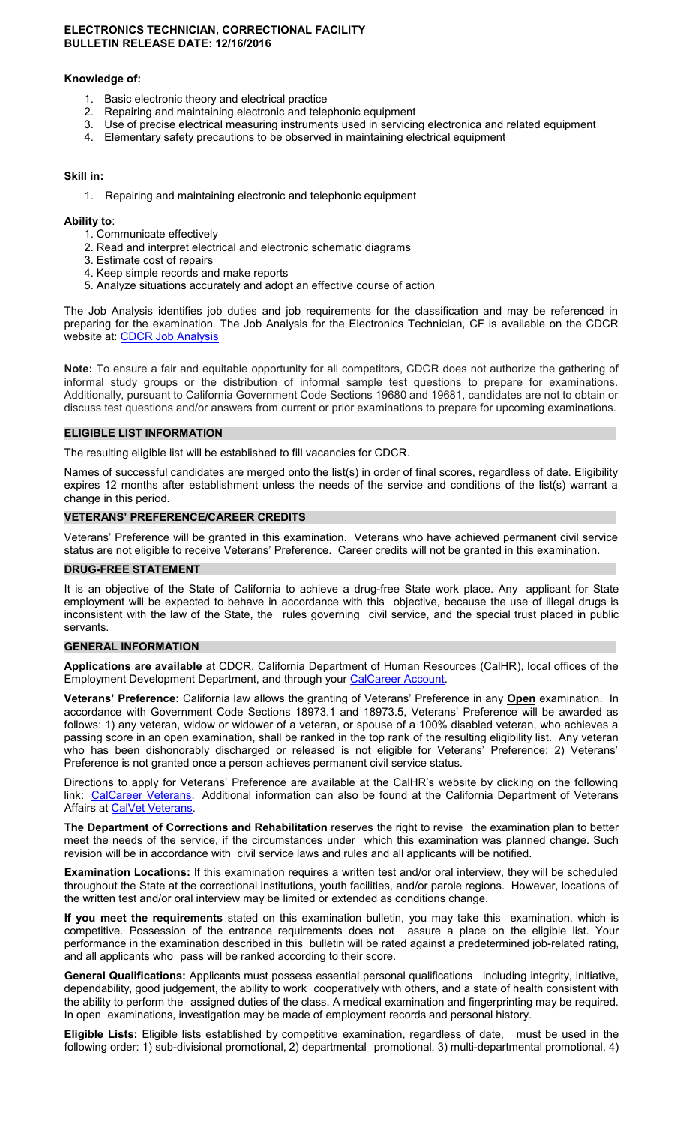#### **ELECTRONICS TECHNICIAN, CORRECTIONAL FACILITY BULLETIN RELEASE DATE: 12/16/2016**

#### **Knowledge of:**

- 1. Basic electronic theory and electrical practice<br>2. Repairing and maintaining electronic and tele
- 2. Repairing and maintaining electronic and telephonic equipment
- 3. Use of precise electrical measuring instruments used in servicing electronica and related equipment
- 4. Elementary safety precautions to be observed in maintaining electrical equipment

## **Skill in:**

1. Repairing and maintaining electronic and telephonic equipment

## **Ability to**:

- 1. Communicate effectively
- 2. Read and interpret electrical and electronic schematic diagrams
- 3. Estimate cost of repairs
- 4. Keep simple records and make reports
- 5. Analyze situations accurately and adopt an effective course of action

The Job Analysis identifies job duties and job requirements for the classification and may be referenced in preparing for the examination. The Job Analysis for the Electronics Technician, CF is available on the CDCR website at: [CDCR Job Analysis](https://www.cdcr.ca.gov/careers/career-opportunities/analysis/) 

**Note:** To ensure a fair and equitable opportunity for all competitors, CDCR does not authorize the gathering of informal study groups or the distribution of informal sample test questions to prepare for examinations. Additionally, pursuant to California Government Code Sections 19680 and 19681, candidates are not to obtain or discuss test questions and/or answers from current or prior examinations to prepare for upcoming examinations.

## **ELIGIBLE LIST INFORMATION**

The resulting eligible list will be established to fill vacancies for CDCR.

Names of successful candidates are merged onto the list(s) in order of final scores, regardless of date. Eligibility expires 12 months after establishment unless the needs of the service and conditions of the list(s) warrant a change in this period.

## **VETERANS' PREFERENCE/CAREER CREDITS**

Veterans' Preference will be granted in this examination. Veterans who have achieved permanent civil service status are not eligible to receive Veterans' Preference. Career credits will not be granted in this examination.

#### **DRUG-FREE STATEMENT**

It is an objective of the State of California to achieve a drug-free State work place. Any applicant for State employment will be expected to behave in accordance with this objective, because the use of illegal drugs is inconsistent with the law of the State, the rules governing civil service, and the special trust placed in public servants.

#### **GENERAL INFORMATION**

**Applications are available** at CDCR, California Department of Human Resources (CalHR), local offices of the Employment Development Department, and through your [CalCareer Account.](https://www.jobs.ca.gov/)

**Veterans' Preference:** California law allows the granting of Veterans' Preference in any **Open** examination. In accordance with Government Code Sections 18973.1 and 18973.5, Veterans' Preference will be awarded as follows: 1) any veteran, widow or widower of a veteran, or spouse of a 100% disabled veteran, who achieves a passing score in an open examination, shall be ranked in the top rank of the resulting eligibility list. Any veteran who has been dishonorably discharged or released is not eligible for Veterans' Preference; 2) Veterans' Preference is not granted once a person achieves permanent civil service status.

Directions to apply for Veterans' Preference are available at the CalHR's website by clicking on the following link: [CalCareer Veterans.](https://jobs.ca.gov/CalHRPublic/Landing/Veterans.aspx) Additional information can also be found at the California Department of Veterans Affairs at [CalVet Veterans.](http://www.calvet.ca.gov/veteran-services-benefits/employment)

**The Department of Corrections and Rehabilitation** reserves the right to revise the examination plan to better meet the needs of the service, if the circumstances under which this examination was planned change. Such revision will be in accordance with civil service laws and rules and all applicants will be notified.

**Examination Locations:** If this examination requires a written test and/or oral interview, they will be scheduled throughout the State at the correctional institutions, youth facilities, and/or parole regions. However, locations of the written test and/or oral interview may be limited or extended as conditions change.

**If you meet the requirements** stated on this examination bulletin, you may take this examination, which is competitive. Possession of the entrance requirements does not assure a place on the eligible list. Your performance in the examination described in this bulletin will be rated against a predetermined job-related rating, and all applicants who pass will be ranked according to their score.

**General Qualifications:** Applicants must possess essential personal qualifications including integrity, initiative, dependability, good judgement, the ability to work cooperatively with others, and a state of health consistent with the ability to perform the assigned duties of the class. A medical examination and fingerprinting may be required. In open examinations, investigation may be made of employment records and personal history.

**Eligible Lists:** Eligible lists established by competitive examination, regardless of date, must be used in the following order: 1) sub-divisional promotional, 2) departmental promotional, 3) multi-departmental promotional, 4)